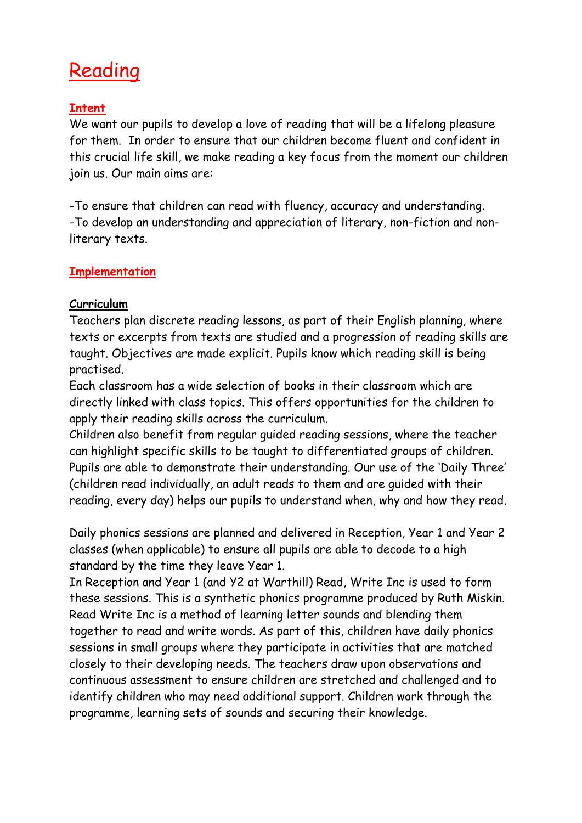# **Reading**

## **Intent**

We want our pupils to develop a love of reading that will be a lifelong pleasure for them. In order to ensure that our children become fluent and confident in this crucial life skill, we make reading a key focus from the moment our children join us. Our main aims are:

-To ensure that children can read with fluency, accuracy and understanding. -To develop an understanding and appreciation of literary, non-fiction and nonliterary texts.

## **Implementation**

## **Curriculum**

Teachers plan discrete reading lessons, as part of their English planning, where texts or excerpts from texts are studied and a progression of reading skills are taught. Objectives are made explicit. Pupils know which reading skill is being practised.

Each classroom has a wide selection of books in their classroom which are directly linked with class topics. This offers opportunities for the children to apply their reading skills across the curriculum.

Children also benefit from regular guided reading sessions, where the teacher can highlight specific skills to be taught to differentiated groups of children. Pupils are able to demonstrate their understanding. Our use of the 'Daily Three' (children read individually, an adult reads to them and are guided with their reading, every day) helps our pupils to understand when, why and how they read.

Daily phonics sessions are planned and delivered in Reception, Year 1 and Year 2 classes (when applicable) to ensure all pupils are able to decode to a high standard by the time they leave Year 1.

In Reception and Year 1 (and Y2 at Warthill) Read, Write Inc is used to form these sessions. This is a synthetic phonics programme produced by Ruth Miskin. Read Write Inc is a method of learning letter sounds and blending them together to read and write words. As part of this, children have daily phonics sessions in small groups where they participate in activities that are matched closely to their developing needs. The teachers draw upon observations and continuous assessment to ensure children are stretched and challenged and to identify children who may need additional support. Children work through the programme, learning sets of sounds and securing their knowledge.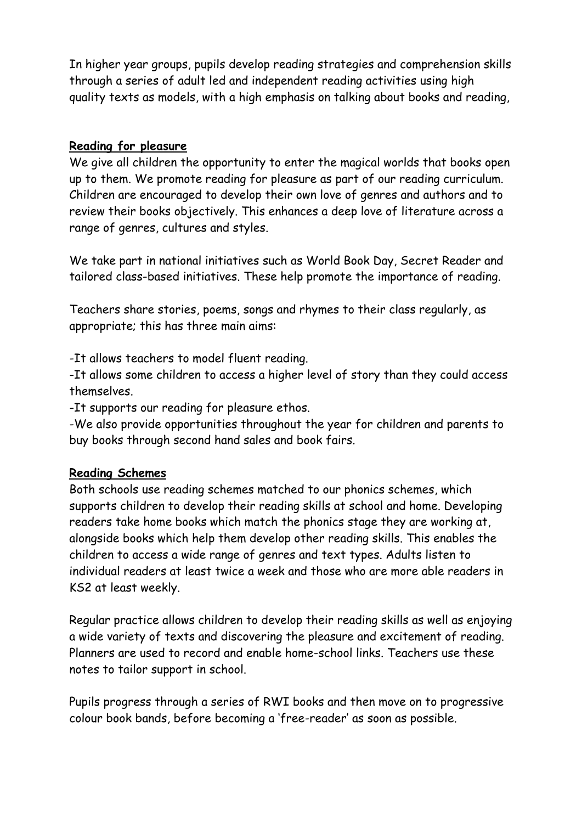In higher year groups, pupils develop reading strategies and comprehension skills through a series of adult led and independent reading activities using high quality texts as models, with a high emphasis on talking about books and reading,

#### **Reading for pleasure**

We give all children the opportunity to enter the magical worlds that books open up to them. We promote reading for pleasure as part of our reading curriculum. Children are encouraged to develop their own love of genres and authors and to review their books objectively. This enhances a deep love of literature across a range of genres, cultures and styles.

We take part in national initiatives such as World Book Day, Secret Reader and tailored class-based initiatives. These help promote the importance of reading.

Teachers share stories, poems, songs and rhymes to their class regularly, as appropriate; this has three main aims:

-It allows teachers to model fluent reading.

-It allows some children to access a higher level of story than they could access themselves.

-It supports our reading for pleasure ethos.

-We also provide opportunities throughout the year for children and parents to buy books through second hand sales and book fairs.

## **Reading Schemes**

Both schools use reading schemes matched to our phonics schemes, which supports children to develop their reading skills at school and home. Developing readers take home books which match the phonics stage they are working at, alongside books which help them develop other reading skills. This enables the children to access a wide range of genres and text types. Adults listen to individual readers at least twice a week and those who are more able readers in KS2 at least weekly.

Regular practice allows children to develop their reading skills as well as enjoying a wide variety of texts and discovering the pleasure and excitement of reading. Planners are used to record and enable home-school links. Teachers use these notes to tailor support in school.

Pupils progress through a series of RWI books and then move on to progressive colour book bands, before becoming a 'free-reader' as soon as possible.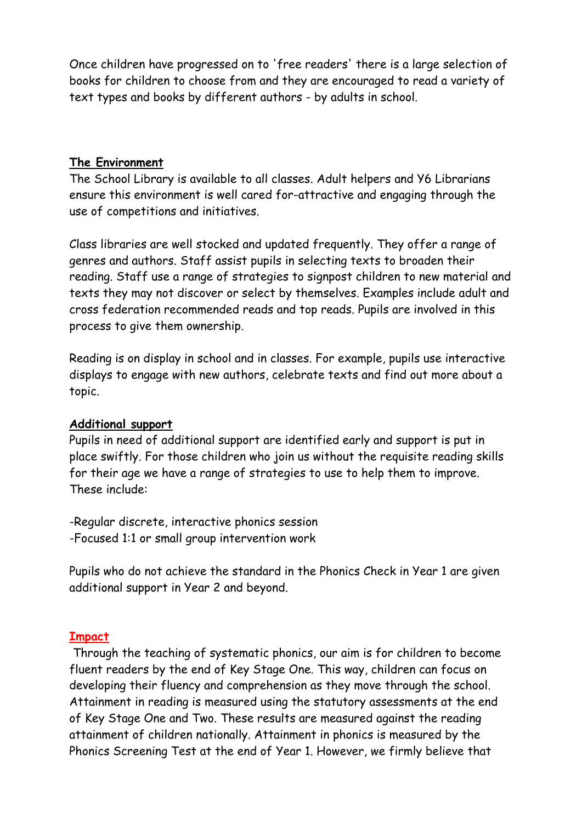Once children have progressed on to 'free readers' there is a large selection of books for children to choose from and they are encouraged to read a variety of text types and books by different authors - by adults in school.

#### **The Environment**

The School Library is available to all classes. Adult helpers and Y6 Librarians ensure this environment is well cared for-attractive and engaging through the use of competitions and initiatives.

Class libraries are well stocked and updated frequently. They offer a range of genres and authors. Staff assist pupils in selecting texts to broaden their reading. Staff use a range of strategies to signpost children to new material and texts they may not discover or select by themselves. Examples include adult and cross federation recommended reads and top reads. Pupils are involved in this process to give them ownership.

Reading is on display in school and in classes. For example, pupils use interactive displays to engage with new authors, celebrate texts and find out more about a topic.

## **Additional support**

Pupils in need of additional support are identified early and support is put in place swiftly. For those children who join us without the requisite reading skills for their age we have a range of strategies to use to help them to improve. These include:

-Regular discrete, interactive phonics session -Focused 1:1 or small group intervention work

Pupils who do not achieve the standard in the Phonics Check in Year 1 are given additional support in Year 2 and beyond.

#### **Impact**

Through the teaching of systematic phonics, our aim is for children to become fluent readers by the end of Key Stage One. This way, children can focus on developing their fluency and comprehension as they move through the school. Attainment in reading is measured using the statutory assessments at the end of Key Stage One and Two. These results are measured against the reading attainment of children nationally. Attainment in phonics is measured by the Phonics Screening Test at the end of Year 1. However, we firmly believe that